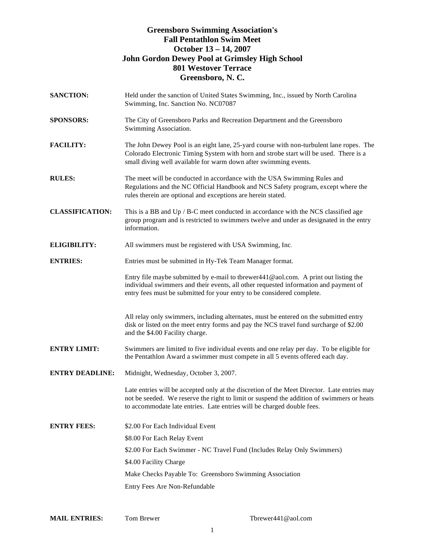### **Greensboro Swimming Association's Fall Pentathlon Swim Meet October 13 – 14, 2007 John Gordon Dewey Pool at Grimsley High School 801 Westover Terrace Greensboro, N. C.**

| <b>SANCTION:</b>       | Held under the sanction of United States Swimming, Inc., issued by North Carolina<br>Swimming, Inc. Sanction No. NC07087                                                                                                                                           |
|------------------------|--------------------------------------------------------------------------------------------------------------------------------------------------------------------------------------------------------------------------------------------------------------------|
| <b>SPONSORS:</b>       | The City of Greensboro Parks and Recreation Department and the Greensboro<br>Swimming Association.                                                                                                                                                                 |
| <b>FACILITY:</b>       | The John Dewey Pool is an eight lane, 25-yard course with non-turbulent lane ropes. The<br>Colorado Electronic Timing System with horn and strobe start will be used. There is a<br>small diving well available for warm down after swimming events.               |
| <b>RULES:</b>          | The meet will be conducted in accordance with the USA Swimming Rules and<br>Regulations and the NC Official Handbook and NCS Safety program, except where the<br>rules therein are optional and exceptions are herein stated.                                      |
| <b>CLASSIFICATION:</b> | This is a BB and Up / B-C meet conducted in accordance with the NCS classified age<br>group program and is restricted to swimmers twelve and under as designated in the entry<br>information.                                                                      |
| <b>ELIGIBILITY:</b>    | All swimmers must be registered with USA Swimming, Inc.                                                                                                                                                                                                            |
| <b>ENTRIES:</b>        | Entries must be submitted in Hy-Tek Team Manager format.                                                                                                                                                                                                           |
|                        | Entry file maybe submitted by e-mail to tbrewer441@aol.com. A print out listing the<br>individual swimmers and their events, all other requested information and payment of<br>entry fees must be submitted for your entry to be considered complete.              |
|                        | All relay only swimmers, including alternates, must be entered on the submitted entry<br>disk or listed on the meet entry forms and pay the NCS travel fund surcharge of \$2.00<br>and the \$4.00 Facility charge.                                                 |
| <b>ENTRY LIMIT:</b>    | Swimmers are limited to five individual events and one relay per day. To be eligible for<br>the Pentathlon Award a swimmer must compete in all 5 events offered each day.                                                                                          |
| <b>ENTRY DEADLINE:</b> | Midnight, Wednesday, October 3, 2007.                                                                                                                                                                                                                              |
|                        | Late entries will be accepted only at the discretion of the Meet Director. Late entries may<br>not be seeded. We reserve the right to limit or suspend the addition of swimmers or heats<br>to accommodate late entries. Late entries will be charged double fees. |
| <b>ENTRY FEES:</b>     | \$2.00 For Each Individual Event                                                                                                                                                                                                                                   |
|                        | \$8.00 For Each Relay Event                                                                                                                                                                                                                                        |
|                        | \$2.00 For Each Swimmer - NC Travel Fund (Includes Relay Only Swimmers)                                                                                                                                                                                            |
|                        | \$4.00 Facility Charge                                                                                                                                                                                                                                             |
|                        | Make Checks Payable To: Greensboro Swimming Association                                                                                                                                                                                                            |
|                        | Entry Fees Are Non-Refundable                                                                                                                                                                                                                                      |

| <b>MAIL ENTRIES:</b> | Tom Brewer |
|----------------------|------------|
|----------------------|------------|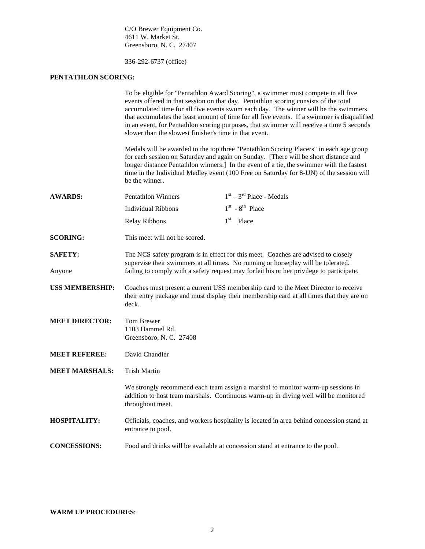C/O Brewer Equipment Co. 4611 W. Market St. Greensboro, N. C. 27407

336-292-6737 (office)

### **PENTATHLON SCORING:**

|                        | To be eligible for "Pentathlon Award Scoring", a swimmer must compete in all five<br>events offered in that session on that day. Pentathlon scoring consists of the total<br>accumulated time for all five events swum each day. The winner will be the swimmers<br>that accumulates the least amount of time for all five events. If a swimmer is disqualified<br>in an event, for Pentathlon scoring purposes, that swimmer will receive a time 5 seconds<br>slower than the slowest finisher's time in that event.<br>Medals will be awarded to the top three "Pentathlon Scoring Placers" in each age group<br>for each session on Saturday and again on Sunday. [There will be short distance and<br>longer distance Pentathlon winners.] In the event of a tie, the swimmer with the fastest<br>time in the Individual Medley event (100 Free on Saturday for 8-UN) of the session will<br>be the winner. |                            |  |
|------------------------|-----------------------------------------------------------------------------------------------------------------------------------------------------------------------------------------------------------------------------------------------------------------------------------------------------------------------------------------------------------------------------------------------------------------------------------------------------------------------------------------------------------------------------------------------------------------------------------------------------------------------------------------------------------------------------------------------------------------------------------------------------------------------------------------------------------------------------------------------------------------------------------------------------------------|----------------------------|--|
|                        |                                                                                                                                                                                                                                                                                                                                                                                                                                                                                                                                                                                                                                                                                                                                                                                                                                                                                                                 |                            |  |
| <b>AWARDS:</b>         | <b>Pentathlon Winners</b>                                                                                                                                                                                                                                                                                                                                                                                                                                                                                                                                                                                                                                                                                                                                                                                                                                                                                       | $1st - 3rd$ Place - Medals |  |
|                        | <b>Individual Ribbons</b>                                                                                                                                                                                                                                                                                                                                                                                                                                                                                                                                                                                                                                                                                                                                                                                                                                                                                       | $1st$ - $8th$ Place        |  |
|                        | Relay Ribbons                                                                                                                                                                                                                                                                                                                                                                                                                                                                                                                                                                                                                                                                                                                                                                                                                                                                                                   | $1st$ Place                |  |
| <b>SCORING:</b>        | This meet will not be scored.                                                                                                                                                                                                                                                                                                                                                                                                                                                                                                                                                                                                                                                                                                                                                                                                                                                                                   |                            |  |
| <b>SAFETY:</b>         | The NCS safety program is in effect for this meet. Coaches are advised to closely<br>supervise their swimmers at all times. No running or horseplay will be tolerated.                                                                                                                                                                                                                                                                                                                                                                                                                                                                                                                                                                                                                                                                                                                                          |                            |  |
| Anyone                 | failing to comply with a safety request may forfeit his or her privilege to participate.                                                                                                                                                                                                                                                                                                                                                                                                                                                                                                                                                                                                                                                                                                                                                                                                                        |                            |  |
| <b>USS MEMBERSHIP:</b> | Coaches must present a current USS membership card to the Meet Director to receive<br>their entry package and must display their membership card at all times that they are on<br>deck.                                                                                                                                                                                                                                                                                                                                                                                                                                                                                                                                                                                                                                                                                                                         |                            |  |
| <b>MEET DIRECTOR:</b>  | Tom Brewer<br>1103 Hammel Rd.<br>Greensboro, N. C. 27408                                                                                                                                                                                                                                                                                                                                                                                                                                                                                                                                                                                                                                                                                                                                                                                                                                                        |                            |  |
| <b>MEET REFEREE:</b>   | David Chandler                                                                                                                                                                                                                                                                                                                                                                                                                                                                                                                                                                                                                                                                                                                                                                                                                                                                                                  |                            |  |
| <b>MEET MARSHALS:</b>  | <b>Trish Martin</b>                                                                                                                                                                                                                                                                                                                                                                                                                                                                                                                                                                                                                                                                                                                                                                                                                                                                                             |                            |  |
|                        | We strongly recommend each team assign a marshal to monitor warm-up sessions in<br>addition to host team marshals. Continuous warm-up in diving well will be monitored<br>throughout meet.                                                                                                                                                                                                                                                                                                                                                                                                                                                                                                                                                                                                                                                                                                                      |                            |  |
| <b>HOSPITALITY:</b>    | Officials, coaches, and workers hospitality is located in area behind concession stand at<br>entrance to pool.                                                                                                                                                                                                                                                                                                                                                                                                                                                                                                                                                                                                                                                                                                                                                                                                  |                            |  |
| <b>CONCESSIONS:</b>    | Food and drinks will be available at concession stand at entrance to the pool.                                                                                                                                                                                                                                                                                                                                                                                                                                                                                                                                                                                                                                                                                                                                                                                                                                  |                            |  |

### **WARM UP PROCEDURES**: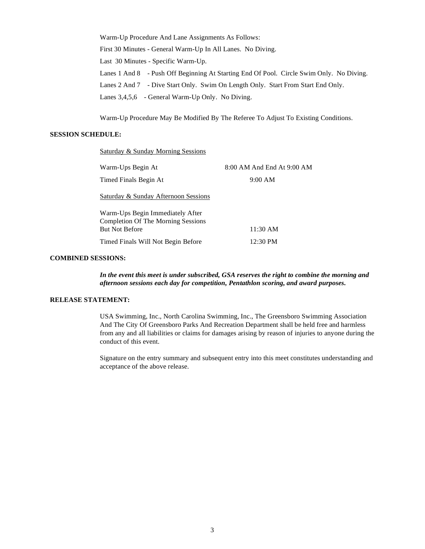Warm-Up Procedure And Lane Assignments As Follows: First 30 Minutes - General Warm-Up In All Lanes. No Diving. Last 30 Minutes - Specific Warm-Up. Lanes 1 And 8 - Push Off Beginning At Starting End Of Pool. Circle Swim Only. No Diving. Lanes 2 And 7 - Dive Start Only. Swim On Length Only. Start From Start End Only. Lanes 3,4,5,6 - General Warm-Up Only. No Diving.

Warm-Up Procedure May Be Modified By The Referee To Adjust To Existing Conditions.

#### **SESSION SCHEDULE:**

Saturday & Sunday Morning Sessions

| Warm-Ups Begin At                                                                               | 8:00 AM And End At 9:00 AM |
|-------------------------------------------------------------------------------------------------|----------------------------|
| Timed Finals Begin At                                                                           | 9:00 AM                    |
| Saturday & Sunday Afternoon Sessions                                                            |                            |
| Warm-Ups Begin Immediately After<br>Completion Of The Morning Sessions<br><b>But Not Before</b> | 11:30 AM                   |
| Timed Finals Will Not Begin Before                                                              | 12:30 PM                   |

#### **COMBINED SESSIONS:**

*In the event this meet is under subscribed, GSA reserves the right to combine the morning and afternoon sessions each day for competition, Pentathlon scoring, and award purposes.* 

#### **RELEASE STATEMENT:**

USA Swimming, Inc., North Carolina Swimming, Inc., The Greensboro Swimming Association And The City Of Greensboro Parks And Recreation Department shall be held free and harmless from any and all liabilities or claims for damages arising by reason of injuries to anyone during the conduct of this event.

Signature on the entry summary and subsequent entry into this meet constitutes understanding and acceptance of the above release.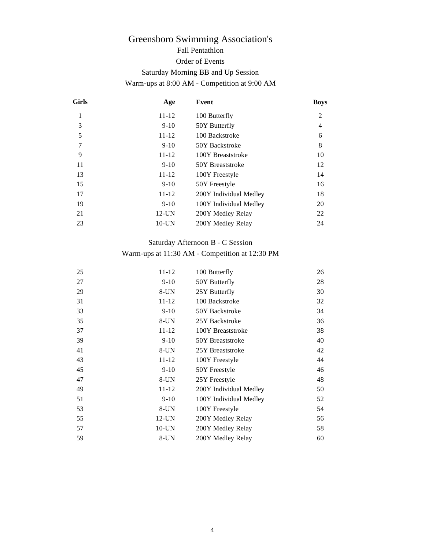# Greensboro Swimming Association's Fall Pentathlon Order of Events Saturday Morning BB and Up Session Warm-ups at 8:00 AM - Competition at 9:00 AM

| Girls          | Age       | Event                  | <b>Boys</b>    |
|----------------|-----------|------------------------|----------------|
| 1              | $11 - 12$ | 100 Butterfly          | $\overline{2}$ |
| 3              | $9-10$    | 50Y Butterfly          | 4              |
| 5              | $11 - 12$ | 100 Backstroke         | 6              |
| $\overline{7}$ | $9 - 10$  | 50Y Backstroke         | 8              |
| 9              | $11 - 12$ | 100Y Breaststroke      | 10             |
| 11             | $9-10$    | 50Y Breaststroke       | 12             |
| 13             | $11 - 12$ | 100Y Freestyle         | 14             |
| 15             | $9-10$    | 50Y Freestyle          | 16             |
| 17             | 11-12     | 200Y Individual Medley | 18             |
| 19             | $9-10$    | 100Y Individual Medley | 20             |
| 21             | $12$ -UN  | 200Y Medley Relay      | 22             |
| 23             | $10$ -UN  | 200Y Medley Relay      | 24             |

### Saturday Afternoon B - C Session

### Warm-ups at 11:30 AM - Competition at 12:30 PM

| 25 | 11-12     | 100 Butterfly          | 26 |
|----|-----------|------------------------|----|
| 27 | $9 - 10$  | 50Y Butterfly          | 28 |
| 29 | $8$ -UN   | 25Y Butterfly          | 30 |
| 31 | $11 - 12$ | 100 Backstroke         | 32 |
| 33 | $9-10$    | 50Y Backstroke         | 34 |
| 35 | $8$ -UN   | 25Y Backstroke         | 36 |
| 37 | $11 - 12$ | 100Y Breaststroke      | 38 |
| 39 | $9-10$    | 50Y Breaststroke       | 40 |
| 41 | $8$ -UN   | 25Y Breaststroke       | 42 |
| 43 | $11 - 12$ | 100Y Freestyle         | 44 |
| 45 | $9-10$    | 50Y Freestyle          | 46 |
| 47 | $8$ -UN   | 25Y Freestyle          | 48 |
| 49 | $11 - 12$ | 200Y Individual Medley | 50 |
| 51 | $9-10$    | 100Y Individual Medley | 52 |
| 53 | $8$ -UN   | 100Y Freestyle         | 54 |
| 55 | $12$ -UN  | 200Y Medley Relay      | 56 |
| 57 | $10$ -UN  | 200Y Medley Relay      | 58 |
| 59 | $8$ -UN   | 200Y Medley Relay      | 60 |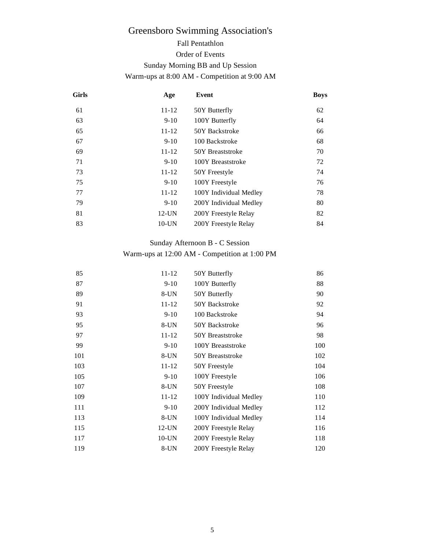# Greensboro Swimming Association's

# Fall Pentathlon

### Order of Events

### Sunday Morning BB and Up Session

### Warm-ups at 8:00 AM - Competition at 9:00 AM

| <b>Girls</b> | Age       | Event                  | <b>Boys</b> |
|--------------|-----------|------------------------|-------------|
| 61           | $11 - 12$ | 50Y Butterfly          | 62          |
| 63           | $9 - 10$  | 100Y Butterfly         | 64          |
| 65           | $11 - 12$ | 50Y Backstroke         | 66          |
| 67           | $9 - 10$  | 100 Backstroke         | 68          |
| 69           | $11 - 12$ | 50Y Breaststroke       | 70          |
| 71           | $9 - 10$  | 100Y Breaststroke      | 72          |
| 73           | $11 - 12$ | 50Y Freestyle          | 74          |
| 75           | $9 - 10$  | 100Y Freestyle         | 76          |
| 77           | $11 - 12$ | 100Y Individual Medley | 78          |
| 79           | $9 - 10$  | 200Y Individual Medley | 80          |
| 81           | $12$ -UN  | 200Y Freestyle Relay   | 82          |
| 83           | $10$ -UN  | 200Y Freestyle Relay   | 84          |

## Sunday Afternoon B - C Session

## Warm-ups at 12:00 AM - Competition at 1:00 PM

| 85  | $11 - 12$ | 50Y Butterfly          | 86  |
|-----|-----------|------------------------|-----|
| 87  | $9-10$    | 100Y Butterfly         | 88  |
| 89  | $8$ -UN   | 50Y Butterfly          | 90  |
| 91  | $11 - 12$ | 50Y Backstroke         | 92  |
| 93  | $9 - 10$  | 100 Backstroke         | 94  |
| 95  | $8$ -UN   | 50Y Backstroke         | 96  |
| 97  | $11 - 12$ | 50Y Breaststroke       | 98  |
| 99  | $9-10$    | 100Y Breaststroke      | 100 |
| 101 | $8$ -UN   | 50Y Breaststroke       | 102 |
| 103 | $11 - 12$ | 50Y Freestyle          | 104 |
| 105 | $9-10$    | 100Y Freestyle         | 106 |
| 107 | $8$ -UN   | 50Y Freestyle          | 108 |
| 109 | $11 - 12$ | 100Y Individual Medley | 110 |
| 111 | $9-10$    | 200Y Individual Medley | 112 |
| 113 | $8$ -UN   | 100Y Individual Medley | 114 |
| 115 | $12$ -UN  | 200Y Freestyle Relay   | 116 |
| 117 | $10$ -UN  | 200Y Freestyle Relay   | 118 |
| 119 | $8$ -UN   | 200Y Freestyle Relay   | 120 |